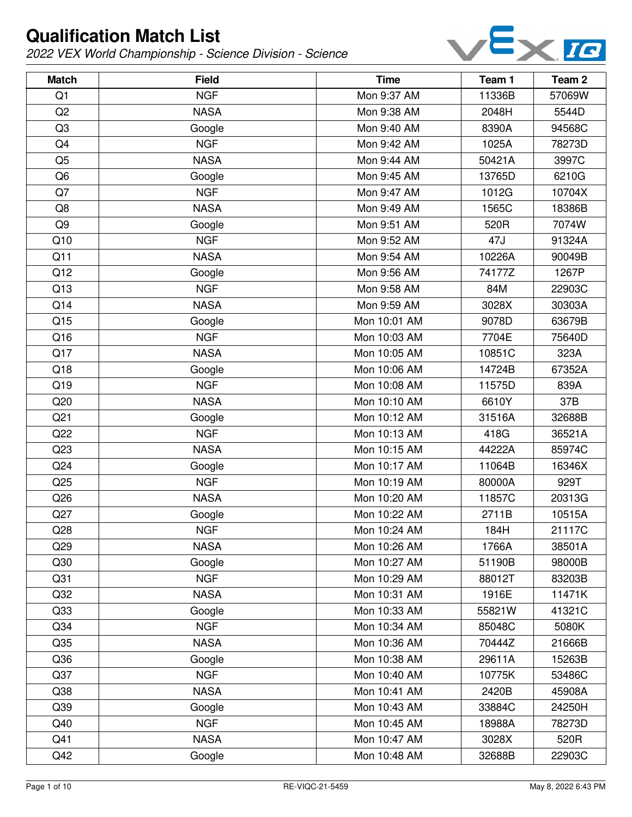

| <b>Match</b>    | <b>Field</b> | <b>Time</b>  | Team 1 | Team <sub>2</sub> |
|-----------------|--------------|--------------|--------|-------------------|
| Q <sub>1</sub>  | <b>NGF</b>   | Mon 9:37 AM  | 11336B | 57069W            |
| Q2              | <b>NASA</b>  | Mon 9:38 AM  | 2048H  | 5544D             |
| Q <sub>3</sub>  | Google       | Mon 9:40 AM  | 8390A  | 94568C            |
| Q4              | <b>NGF</b>   | Mon 9:42 AM  | 1025A  | 78273D            |
| Q <sub>5</sub>  | <b>NASA</b>  | Mon 9:44 AM  | 50421A | 3997C             |
| Q <sub>6</sub>  | Google       | Mon 9:45 AM  | 13765D | 6210G             |
| Q7              | <b>NGF</b>   | Mon 9:47 AM  | 1012G  | 10704X            |
| Q8              | <b>NASA</b>  | Mon 9:49 AM  | 1565C  | 18386B            |
| Q <sub>9</sub>  | Google       | Mon 9:51 AM  | 520R   | 7074W             |
| Q10             | <b>NGF</b>   | Mon 9:52 AM  | 47J    | 91324A            |
| Q11             | <b>NASA</b>  | Mon 9:54 AM  | 10226A | 90049B            |
| Q12             | Google       | Mon 9:56 AM  | 74177Z | 1267P             |
| Q13             | <b>NGF</b>   | Mon 9:58 AM  | 84M    | 22903C            |
| Q14             | <b>NASA</b>  | Mon 9:59 AM  | 3028X  | 30303A            |
| Q15             | Google       | Mon 10:01 AM | 9078D  | 63679B            |
| Q16             | <b>NGF</b>   | Mon 10:03 AM | 7704E  | 75640D            |
| Q17             | <b>NASA</b>  | Mon 10:05 AM | 10851C | 323A              |
| Q18             | Google       | Mon 10:06 AM | 14724B | 67352A            |
| Q19             | <b>NGF</b>   | Mon 10:08 AM | 11575D | 839A              |
| Q20             | <b>NASA</b>  | Mon 10:10 AM | 6610Y  | 37B               |
| Q <sub>21</sub> | Google       | Mon 10:12 AM | 31516A | 32688B            |
| Q22             | <b>NGF</b>   | Mon 10:13 AM | 418G   | 36521A            |
| Q23             | <b>NASA</b>  | Mon 10:15 AM | 44222A | 85974C            |
| Q24             | Google       | Mon 10:17 AM | 11064B | 16346X            |
| Q25             | <b>NGF</b>   | Mon 10:19 AM | 80000A | 929T              |
| Q26             | <b>NASA</b>  | Mon 10:20 AM | 11857C | 20313G            |
| Q27             | Google       | Mon 10:22 AM | 2711B  | 10515A            |
| Q28             | <b>NGF</b>   | Mon 10:24 AM | 184H   | 21117C            |
| Q29             | <b>NASA</b>  | Mon 10:26 AM | 1766A  | 38501A            |
| Q30             | Google       | Mon 10:27 AM | 51190B | 98000B            |
| Q <sub>31</sub> | <b>NGF</b>   | Mon 10:29 AM | 88012T | 83203B            |
| Q <sub>32</sub> | <b>NASA</b>  | Mon 10:31 AM | 1916E  | 11471K            |
| Q <sub>33</sub> | Google       | Mon 10:33 AM | 55821W | 41321C            |
| Q <sub>34</sub> | <b>NGF</b>   | Mon 10:34 AM | 85048C | 5080K             |
| Q35             | <b>NASA</b>  | Mon 10:36 AM | 70444Z | 21666B            |
| Q36             | Google       | Mon 10:38 AM | 29611A | 15263B            |
| Q <sub>37</sub> | <b>NGF</b>   | Mon 10:40 AM | 10775K | 53486C            |
| Q <sub>38</sub> | <b>NASA</b>  | Mon 10:41 AM | 2420B  | 45908A            |
| Q39             | Google       | Mon 10:43 AM | 33884C | 24250H            |
| Q40             | <b>NGF</b>   | Mon 10:45 AM | 18988A | 78273D            |
| Q41             | <b>NASA</b>  | Mon 10:47 AM | 3028X  | 520R              |
| Q42             | Google       | Mon 10:48 AM | 32688B | 22903C            |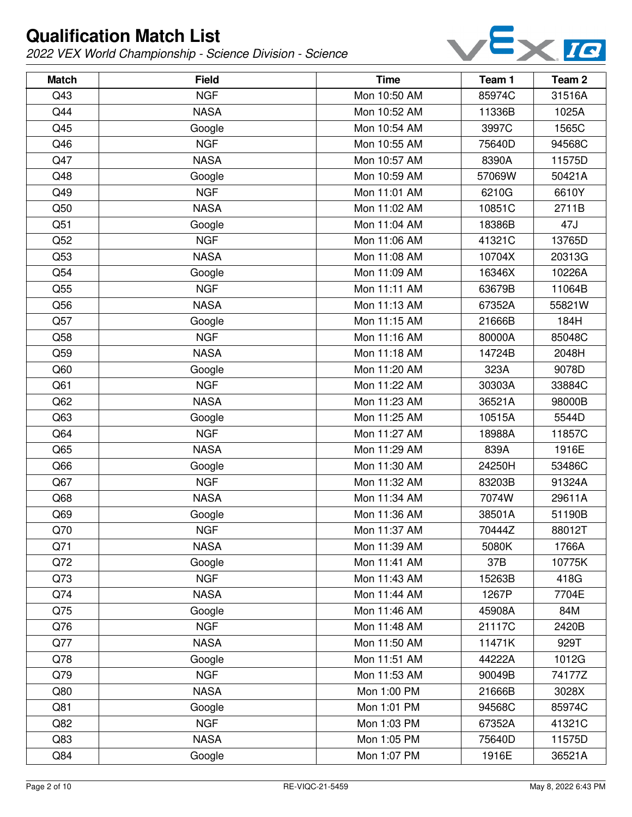

| <b>Match</b> | <b>Field</b> | <b>Time</b>  | Team 1 | Team 2 |
|--------------|--------------|--------------|--------|--------|
| Q43          | <b>NGF</b>   | Mon 10:50 AM | 85974C | 31516A |
| Q44          | <b>NASA</b>  | Mon 10:52 AM | 11336B | 1025A  |
| Q45          | Google       | Mon 10:54 AM | 3997C  | 1565C  |
| Q46          | <b>NGF</b>   | Mon 10:55 AM | 75640D | 94568C |
| Q47          | <b>NASA</b>  | Mon 10:57 AM | 8390A  | 11575D |
| Q48          | Google       | Mon 10:59 AM | 57069W | 50421A |
| Q49          | <b>NGF</b>   | Mon 11:01 AM | 6210G  | 6610Y  |
| Q50          | <b>NASA</b>  | Mon 11:02 AM | 10851C | 2711B  |
| Q51          | Google       | Mon 11:04 AM | 18386B | 47J    |
| Q52          | <b>NGF</b>   | Mon 11:06 AM | 41321C | 13765D |
| Q53          | <b>NASA</b>  | Mon 11:08 AM | 10704X | 20313G |
| Q54          | Google       | Mon 11:09 AM | 16346X | 10226A |
| Q55          | <b>NGF</b>   | Mon 11:11 AM | 63679B | 11064B |
| Q56          | <b>NASA</b>  | Mon 11:13 AM | 67352A | 55821W |
| Q57          | Google       | Mon 11:15 AM | 21666B | 184H   |
| Q58          | <b>NGF</b>   | Mon 11:16 AM | 80000A | 85048C |
| Q59          | <b>NASA</b>  | Mon 11:18 AM | 14724B | 2048H  |
| Q60          | Google       | Mon 11:20 AM | 323A   | 9078D  |
| Q61          | <b>NGF</b>   | Mon 11:22 AM | 30303A | 33884C |
| Q62          | <b>NASA</b>  | Mon 11:23 AM | 36521A | 98000B |
| Q63          | Google       | Mon 11:25 AM | 10515A | 5544D  |
| Q64          | <b>NGF</b>   | Mon 11:27 AM | 18988A | 11857C |
| Q65          | <b>NASA</b>  | Mon 11:29 AM | 839A   | 1916E  |
| Q66          | Google       | Mon 11:30 AM | 24250H | 53486C |
| Q67          | <b>NGF</b>   | Mon 11:32 AM | 83203B | 91324A |
| Q68          | <b>NASA</b>  | Mon 11:34 AM | 7074W  | 29611A |
| Q69          | Google       | Mon 11:36 AM | 38501A | 51190B |
| Q70          | <b>NGF</b>   | Mon 11:37 AM | 70444Z | 88012T |
| Q71          | <b>NASA</b>  | Mon 11:39 AM | 5080K  | 1766A  |
| Q72          | Google       | Mon 11:41 AM | 37B    | 10775K |
| Q73          | <b>NGF</b>   | Mon 11:43 AM | 15263B | 418G   |
| Q74          | <b>NASA</b>  | Mon 11:44 AM | 1267P  | 7704E  |
| Q75          | Google       | Mon 11:46 AM | 45908A | 84M    |
| Q76          | <b>NGF</b>   | Mon 11:48 AM | 21117C | 2420B  |
| Q77          | <b>NASA</b>  | Mon 11:50 AM | 11471K | 929T   |
| Q78          | Google       | Mon 11:51 AM | 44222A | 1012G  |
| Q79          | <b>NGF</b>   | Mon 11:53 AM | 90049B | 74177Z |
| Q80          | <b>NASA</b>  | Mon 1:00 PM  | 21666B | 3028X  |
| Q81          | Google       | Mon 1:01 PM  | 94568C | 85974C |
| Q82          | <b>NGF</b>   | Mon 1:03 PM  | 67352A | 41321C |
| Q83          | <b>NASA</b>  | Mon 1:05 PM  | 75640D | 11575D |
| Q84          | Google       | Mon 1:07 PM  | 1916E  | 36521A |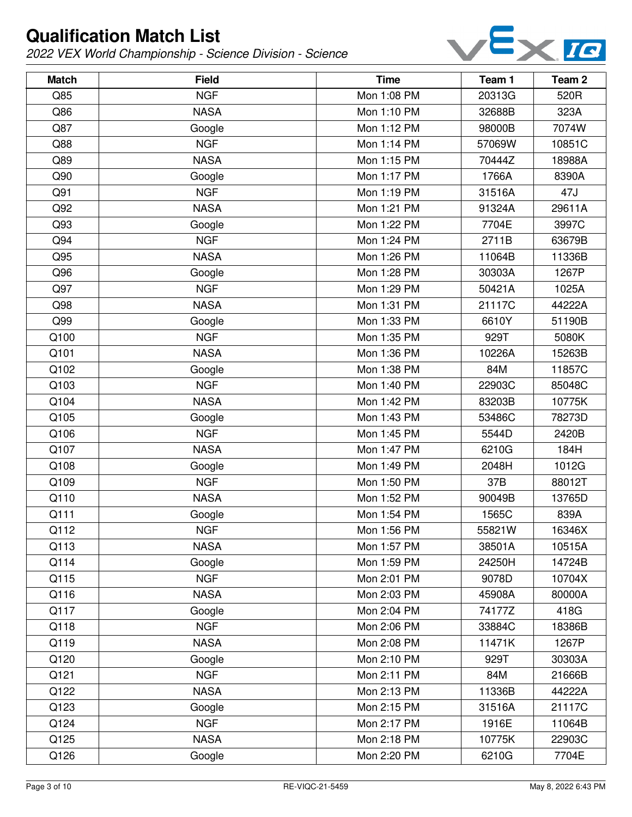

| <b>Match</b> | <b>Field</b> | <b>Time</b> | Team 1 | Team <sub>2</sub> |
|--------------|--------------|-------------|--------|-------------------|
| Q85          | <b>NGF</b>   | Mon 1:08 PM | 20313G | 520R              |
| Q86          | <b>NASA</b>  | Mon 1:10 PM | 32688B | 323A              |
| Q87          | Google       | Mon 1:12 PM | 98000B | 7074W             |
| Q88          | <b>NGF</b>   | Mon 1:14 PM | 57069W | 10851C            |
| Q89          | <b>NASA</b>  | Mon 1:15 PM | 70444Z | 18988A            |
| Q90          | Google       | Mon 1:17 PM | 1766A  | 8390A             |
| Q91          | <b>NGF</b>   | Mon 1:19 PM | 31516A | 47J               |
| Q92          | <b>NASA</b>  | Mon 1:21 PM | 91324A | 29611A            |
| Q93          | Google       | Mon 1:22 PM | 7704E  | 3997C             |
| Q94          | <b>NGF</b>   | Mon 1:24 PM | 2711B  | 63679B            |
| Q95          | <b>NASA</b>  | Mon 1:26 PM | 11064B | 11336B            |
| Q96          | Google       | Mon 1:28 PM | 30303A | 1267P             |
| Q97          | <b>NGF</b>   | Mon 1:29 PM | 50421A | 1025A             |
| Q98          | <b>NASA</b>  | Mon 1:31 PM | 21117C | 44222A            |
| Q99          | Google       | Mon 1:33 PM | 6610Y  | 51190B            |
| Q100         | <b>NGF</b>   | Mon 1:35 PM | 929T   | 5080K             |
| Q101         | <b>NASA</b>  | Mon 1:36 PM | 10226A | 15263B            |
| Q102         | Google       | Mon 1:38 PM | 84M    | 11857C            |
| Q103         | <b>NGF</b>   | Mon 1:40 PM | 22903C | 85048C            |
| Q104         | <b>NASA</b>  | Mon 1:42 PM | 83203B | 10775K            |
| Q105         | Google       | Mon 1:43 PM | 53486C | 78273D            |
| Q106         | <b>NGF</b>   | Mon 1:45 PM | 5544D  | 2420B             |
| Q107         | <b>NASA</b>  | Mon 1:47 PM | 6210G  | 184H              |
| Q108         | Google       | Mon 1:49 PM | 2048H  | 1012G             |
| Q109         | <b>NGF</b>   | Mon 1:50 PM | 37B    | 88012T            |
| Q110         | <b>NASA</b>  | Mon 1:52 PM | 90049B | 13765D            |
| Q111         | Google       | Mon 1:54 PM | 1565C  | 839A              |
| Q112         | <b>NGF</b>   | Mon 1:56 PM | 55821W | 16346X            |
| Q113         | <b>NASA</b>  | Mon 1:57 PM | 38501A | 10515A            |
| Q114         | Google       | Mon 1:59 PM | 24250H | 14724B            |
| Q115         | <b>NGF</b>   | Mon 2:01 PM | 9078D  | 10704X            |
| Q116         | <b>NASA</b>  | Mon 2:03 PM | 45908A | 80000A            |
| Q117         | Google       | Mon 2:04 PM | 74177Z | 418G              |
| Q118         | <b>NGF</b>   | Mon 2:06 PM | 33884C | 18386B            |
| Q119         | <b>NASA</b>  | Mon 2:08 PM | 11471K | 1267P             |
| Q120         | Google       | Mon 2:10 PM | 929T   | 30303A            |
| Q121         | <b>NGF</b>   | Mon 2:11 PM | 84M    | 21666B            |
| Q122         | <b>NASA</b>  | Mon 2:13 PM | 11336B | 44222A            |
| Q123         | Google       | Mon 2:15 PM | 31516A | 21117C            |
| Q124         | <b>NGF</b>   | Mon 2:17 PM | 1916E  | 11064B            |
| Q125         | <b>NASA</b>  | Mon 2:18 PM | 10775K | 22903C            |
| Q126         | Google       | Mon 2:20 PM | 6210G  | 7704E             |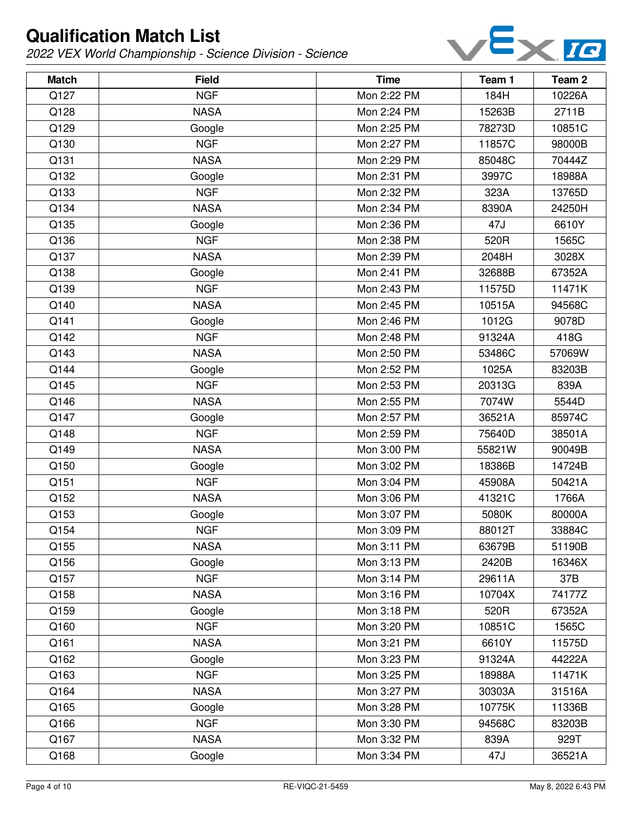

| <b>Match</b> | <b>Field</b> | <b>Time</b> | Team 1 | Team 2 |
|--------------|--------------|-------------|--------|--------|
| Q127         | <b>NGF</b>   | Mon 2:22 PM | 184H   | 10226A |
| Q128         | <b>NASA</b>  | Mon 2:24 PM | 15263B | 2711B  |
| Q129         | Google       | Mon 2:25 PM | 78273D | 10851C |
| Q130         | <b>NGF</b>   | Mon 2:27 PM | 11857C | 98000B |
| Q131         | <b>NASA</b>  | Mon 2:29 PM | 85048C | 70444Z |
| Q132         | Google       | Mon 2:31 PM | 3997C  | 18988A |
| Q133         | <b>NGF</b>   | Mon 2:32 PM | 323A   | 13765D |
| Q134         | <b>NASA</b>  | Mon 2:34 PM | 8390A  | 24250H |
| Q135         | Google       | Mon 2:36 PM | 47J    | 6610Y  |
| Q136         | <b>NGF</b>   | Mon 2:38 PM | 520R   | 1565C  |
| Q137         | <b>NASA</b>  | Mon 2:39 PM | 2048H  | 3028X  |
| Q138         | Google       | Mon 2:41 PM | 32688B | 67352A |
| Q139         | <b>NGF</b>   | Mon 2:43 PM | 11575D | 11471K |
| Q140         | <b>NASA</b>  | Mon 2:45 PM | 10515A | 94568C |
| Q141         | Google       | Mon 2:46 PM | 1012G  | 9078D  |
| Q142         | <b>NGF</b>   | Mon 2:48 PM | 91324A | 418G   |
| Q143         | <b>NASA</b>  | Mon 2:50 PM | 53486C | 57069W |
| Q144         | Google       | Mon 2:52 PM | 1025A  | 83203B |
| Q145         | <b>NGF</b>   | Mon 2:53 PM | 20313G | 839A   |
| Q146         | <b>NASA</b>  | Mon 2:55 PM | 7074W  | 5544D  |
| Q147         | Google       | Mon 2:57 PM | 36521A | 85974C |
| Q148         | <b>NGF</b>   | Mon 2:59 PM | 75640D | 38501A |
| Q149         | <b>NASA</b>  | Mon 3:00 PM | 55821W | 90049B |
| Q150         | Google       | Mon 3:02 PM | 18386B | 14724B |
| Q151         | <b>NGF</b>   | Mon 3:04 PM | 45908A | 50421A |
| Q152         | <b>NASA</b>  | Mon 3:06 PM | 41321C | 1766A  |
| Q153         | Google       | Mon 3:07 PM | 5080K  | 80000A |
| Q154         | <b>NGF</b>   | Mon 3:09 PM | 88012T | 33884C |
| Q155         | <b>NASA</b>  | Mon 3:11 PM | 63679B | 51190B |
| Q156         | Google       | Mon 3:13 PM | 2420B  | 16346X |
| Q157         | <b>NGF</b>   | Mon 3:14 PM | 29611A | 37B    |
| Q158         | <b>NASA</b>  | Mon 3:16 PM | 10704X | 74177Z |
| Q159         | Google       | Mon 3:18 PM | 520R   | 67352A |
| Q160         | <b>NGF</b>   | Mon 3:20 PM | 10851C | 1565C  |
| Q161         | <b>NASA</b>  | Mon 3:21 PM | 6610Y  | 11575D |
| Q162         | Google       | Mon 3:23 PM | 91324A | 44222A |
| Q163         | <b>NGF</b>   | Mon 3:25 PM | 18988A | 11471K |
| Q164         | <b>NASA</b>  | Mon 3:27 PM | 30303A | 31516A |
| Q165         | Google       | Mon 3:28 PM | 10775K | 11336B |
| Q166         | <b>NGF</b>   | Mon 3:30 PM | 94568C | 83203B |
| Q167         | <b>NASA</b>  | Mon 3:32 PM | 839A   | 929T   |
| Q168         | Google       | Mon 3:34 PM | 47J    | 36521A |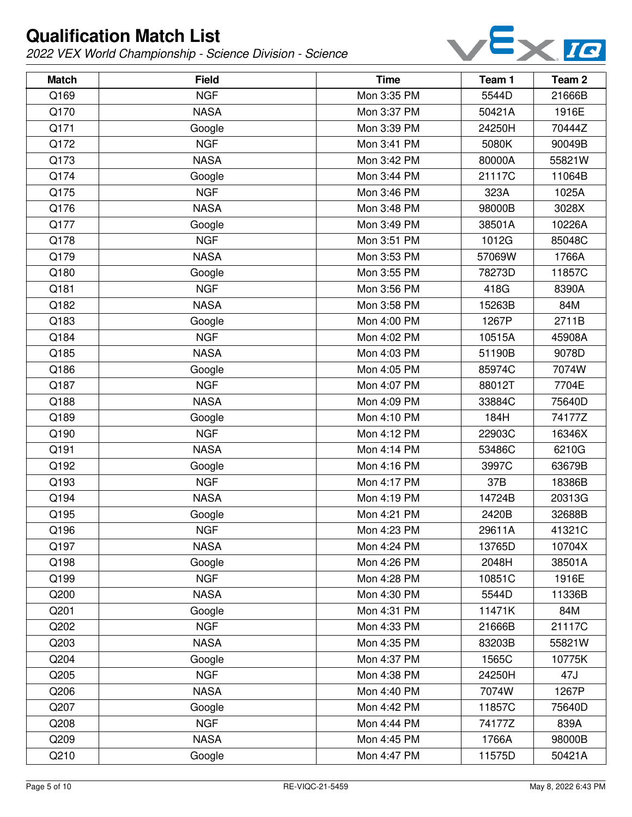

| <b>Match</b> | <b>Field</b> | <b>Time</b> | Team 1 | Team <sub>2</sub> |
|--------------|--------------|-------------|--------|-------------------|
| Q169         | <b>NGF</b>   | Mon 3:35 PM | 5544D  | 21666B            |
| Q170         | <b>NASA</b>  | Mon 3:37 PM | 50421A | 1916E             |
| Q171         | Google       | Mon 3:39 PM | 24250H | 70444Z            |
| Q172         | <b>NGF</b>   | Mon 3:41 PM | 5080K  | 90049B            |
| Q173         | <b>NASA</b>  | Mon 3:42 PM | 80000A | 55821W            |
| Q174         | Google       | Mon 3:44 PM | 21117C | 11064B            |
| Q175         | <b>NGF</b>   | Mon 3:46 PM | 323A   | 1025A             |
| Q176         | <b>NASA</b>  | Mon 3:48 PM | 98000B | 3028X             |
| Q177         | Google       | Mon 3:49 PM | 38501A | 10226A            |
| Q178         | <b>NGF</b>   | Mon 3:51 PM | 1012G  | 85048C            |
| Q179         | <b>NASA</b>  | Mon 3:53 PM | 57069W | 1766A             |
| Q180         | Google       | Mon 3:55 PM | 78273D | 11857C            |
| Q181         | <b>NGF</b>   | Mon 3:56 PM | 418G   | 8390A             |
| Q182         | <b>NASA</b>  | Mon 3:58 PM | 15263B | 84M               |
| Q183         | Google       | Mon 4:00 PM | 1267P  | 2711B             |
| Q184         | <b>NGF</b>   | Mon 4:02 PM | 10515A | 45908A            |
| Q185         | <b>NASA</b>  | Mon 4:03 PM | 51190B | 9078D             |
| Q186         | Google       | Mon 4:05 PM | 85974C | 7074W             |
| Q187         | <b>NGF</b>   | Mon 4:07 PM | 88012T | 7704E             |
| Q188         | <b>NASA</b>  | Mon 4:09 PM | 33884C | 75640D            |
| Q189         | Google       | Mon 4:10 PM | 184H   | 74177Z            |
| Q190         | <b>NGF</b>   | Mon 4:12 PM | 22903C | 16346X            |
| Q191         | <b>NASA</b>  | Mon 4:14 PM | 53486C | 6210G             |
| Q192         | Google       | Mon 4:16 PM | 3997C  | 63679B            |
| Q193         | <b>NGF</b>   | Mon 4:17 PM | 37B    | 18386B            |
| Q194         | <b>NASA</b>  | Mon 4:19 PM | 14724B | 20313G            |
| Q195         | Google       | Mon 4:21 PM | 2420B  | 32688B            |
| Q196         | <b>NGF</b>   | Mon 4:23 PM | 29611A | 41321C            |
| Q197         | <b>NASA</b>  | Mon 4:24 PM | 13765D | 10704X            |
| Q198         | Google       | Mon 4:26 PM | 2048H  | 38501A            |
| Q199         | <b>NGF</b>   | Mon 4:28 PM | 10851C | 1916E             |
| Q200         | <b>NASA</b>  | Mon 4:30 PM | 5544D  | 11336B            |
| Q201         | Google       | Mon 4:31 PM | 11471K | 84M               |
| Q202         | <b>NGF</b>   | Mon 4:33 PM | 21666B | 21117C            |
| Q203         | <b>NASA</b>  | Mon 4:35 PM | 83203B | 55821W            |
| Q204         | Google       | Mon 4:37 PM | 1565C  | 10775K            |
| Q205         | <b>NGF</b>   | Mon 4:38 PM | 24250H | 47J               |
| Q206         | <b>NASA</b>  | Mon 4:40 PM | 7074W  | 1267P             |
| Q207         | Google       | Mon 4:42 PM | 11857C | 75640D            |
| Q208         | <b>NGF</b>   | Mon 4:44 PM | 74177Z | 839A              |
| Q209         | <b>NASA</b>  | Mon 4:45 PM | 1766A  | 98000B            |
| Q210         | Google       | Mon 4:47 PM | 11575D | 50421A            |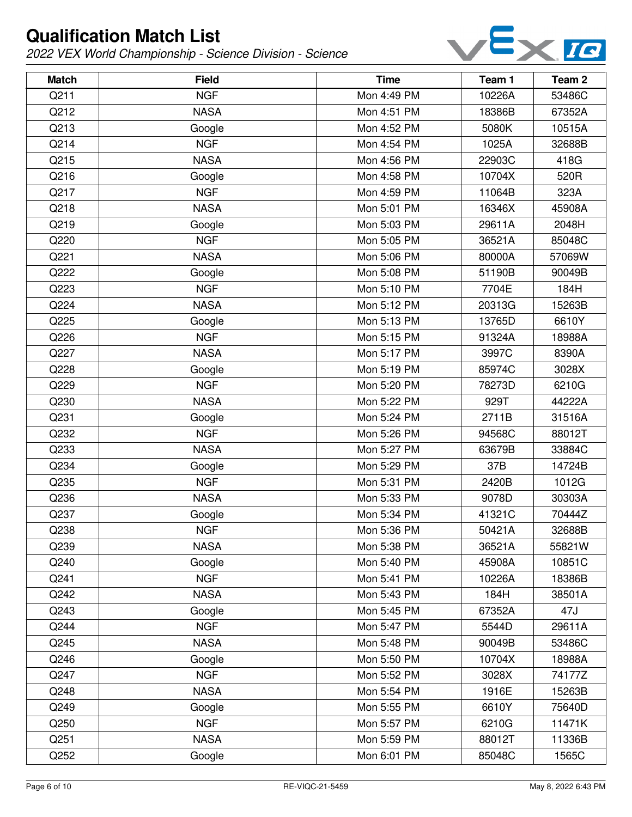

| <b>Match</b> | <b>Field</b> | <b>Time</b> | Team 1 | Team 2 |
|--------------|--------------|-------------|--------|--------|
| Q211         | <b>NGF</b>   | Mon 4:49 PM | 10226A | 53486C |
| Q212         | <b>NASA</b>  | Mon 4:51 PM | 18386B | 67352A |
| Q213         | Google       | Mon 4:52 PM | 5080K  | 10515A |
| Q214         | <b>NGF</b>   | Mon 4:54 PM | 1025A  | 32688B |
| Q215         | <b>NASA</b>  | Mon 4:56 PM | 22903C | 418G   |
| Q216         | Google       | Mon 4:58 PM | 10704X | 520R   |
| Q217         | <b>NGF</b>   | Mon 4:59 PM | 11064B | 323A   |
| Q218         | <b>NASA</b>  | Mon 5:01 PM | 16346X | 45908A |
| Q219         | Google       | Mon 5:03 PM | 29611A | 2048H  |
| Q220         | <b>NGF</b>   | Mon 5:05 PM | 36521A | 85048C |
| Q221         | <b>NASA</b>  | Mon 5:06 PM | 80000A | 57069W |
| Q222         | Google       | Mon 5:08 PM | 51190B | 90049B |
| Q223         | <b>NGF</b>   | Mon 5:10 PM | 7704E  | 184H   |
| Q224         | <b>NASA</b>  | Mon 5:12 PM | 20313G | 15263B |
| Q225         | Google       | Mon 5:13 PM | 13765D | 6610Y  |
| Q226         | <b>NGF</b>   | Mon 5:15 PM | 91324A | 18988A |
| Q227         | <b>NASA</b>  | Mon 5:17 PM | 3997C  | 8390A  |
| Q228         | Google       | Mon 5:19 PM | 85974C | 3028X  |
| Q229         | <b>NGF</b>   | Mon 5:20 PM | 78273D | 6210G  |
| Q230         | <b>NASA</b>  | Mon 5:22 PM | 929T   | 44222A |
| Q231         | Google       | Mon 5:24 PM | 2711B  | 31516A |
| Q232         | <b>NGF</b>   | Mon 5:26 PM | 94568C | 88012T |
| Q233         | <b>NASA</b>  | Mon 5:27 PM | 63679B | 33884C |
| Q234         | Google       | Mon 5:29 PM | 37B    | 14724B |
| Q235         | <b>NGF</b>   | Mon 5:31 PM | 2420B  | 1012G  |
| Q236         | <b>NASA</b>  | Mon 5:33 PM | 9078D  | 30303A |
| Q237         | Google       | Mon 5:34 PM | 41321C | 70444Z |
| Q238         | <b>NGF</b>   | Mon 5:36 PM | 50421A | 32688B |
| Q239         | <b>NASA</b>  | Mon 5:38 PM | 36521A | 55821W |
| Q240         | Google       | Mon 5:40 PM | 45908A | 10851C |
| Q241         | <b>NGF</b>   | Mon 5:41 PM | 10226A | 18386B |
| Q242         | <b>NASA</b>  | Mon 5:43 PM | 184H   | 38501A |
| Q243         | Google       | Mon 5:45 PM | 67352A | 47J    |
| Q244         | <b>NGF</b>   | Mon 5:47 PM | 5544D  | 29611A |
| Q245         | <b>NASA</b>  | Mon 5:48 PM | 90049B | 53486C |
| Q246         | Google       | Mon 5:50 PM | 10704X | 18988A |
| Q247         | <b>NGF</b>   | Mon 5:52 PM | 3028X  | 74177Z |
| Q248         | <b>NASA</b>  | Mon 5:54 PM | 1916E  | 15263B |
| Q249         | Google       | Mon 5:55 PM | 6610Y  | 75640D |
| Q250         | <b>NGF</b>   | Mon 5:57 PM | 6210G  | 11471K |
| Q251         | <b>NASA</b>  | Mon 5:59 PM | 88012T | 11336B |
| Q252         | Google       | Mon 6:01 PM | 85048C | 1565C  |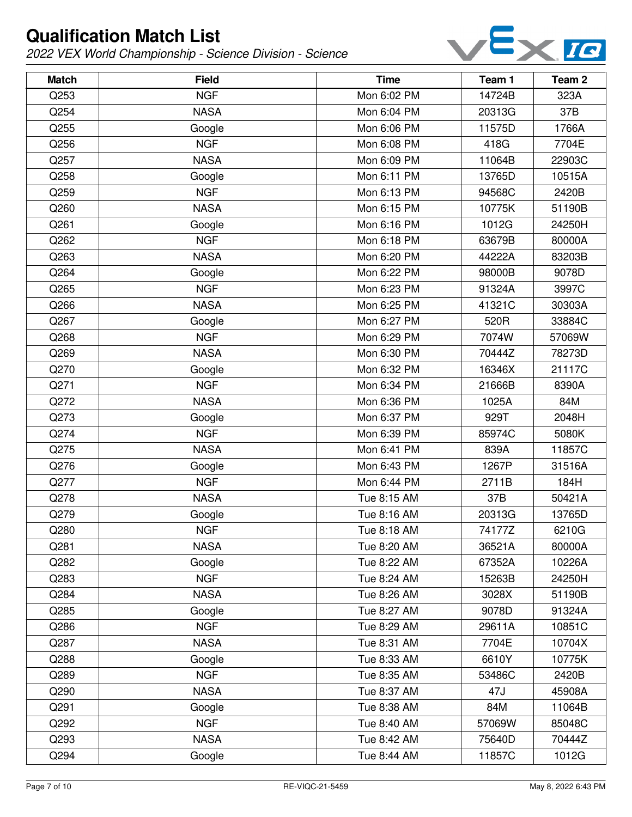

| <b>Match</b> | <b>Field</b> | <b>Time</b> | Team 1 | Team <sub>2</sub> |
|--------------|--------------|-------------|--------|-------------------|
| Q253         | <b>NGF</b>   | Mon 6:02 PM | 14724B | 323A              |
| Q254         | <b>NASA</b>  | Mon 6:04 PM | 20313G | 37B               |
| Q255         | Google       | Mon 6:06 PM | 11575D | 1766A             |
| Q256         | <b>NGF</b>   | Mon 6:08 PM | 418G   | 7704E             |
| Q257         | <b>NASA</b>  | Mon 6:09 PM | 11064B | 22903C            |
| Q258         | Google       | Mon 6:11 PM | 13765D | 10515A            |
| Q259         | <b>NGF</b>   | Mon 6:13 PM | 94568C | 2420B             |
| Q260         | <b>NASA</b>  | Mon 6:15 PM | 10775K | 51190B            |
| Q261         | Google       | Mon 6:16 PM | 1012G  | 24250H            |
| Q262         | <b>NGF</b>   | Mon 6:18 PM | 63679B | 80000A            |
| Q263         | <b>NASA</b>  | Mon 6:20 PM | 44222A | 83203B            |
| Q264         | Google       | Mon 6:22 PM | 98000B | 9078D             |
| Q265         | <b>NGF</b>   | Mon 6:23 PM | 91324A | 3997C             |
| Q266         | <b>NASA</b>  | Mon 6:25 PM | 41321C | 30303A            |
| Q267         | Google       | Mon 6:27 PM | 520R   | 33884C            |
| Q268         | <b>NGF</b>   | Mon 6:29 PM | 7074W  | 57069W            |
| Q269         | <b>NASA</b>  | Mon 6:30 PM | 70444Z | 78273D            |
| Q270         | Google       | Mon 6:32 PM | 16346X | 21117C            |
| Q271         | <b>NGF</b>   | Mon 6:34 PM | 21666B | 8390A             |
| Q272         | <b>NASA</b>  | Mon 6:36 PM | 1025A  | 84M               |
| Q273         | Google       | Mon 6:37 PM | 929T   | 2048H             |
| Q274         | <b>NGF</b>   | Mon 6:39 PM | 85974C | 5080K             |
| Q275         | <b>NASA</b>  | Mon 6:41 PM | 839A   | 11857C            |
| Q276         | Google       | Mon 6:43 PM | 1267P  | 31516A            |
| Q277         | <b>NGF</b>   | Mon 6:44 PM | 2711B  | 184H              |
| Q278         | <b>NASA</b>  | Tue 8:15 AM | 37B    | 50421A            |
| Q279         | Google       | Tue 8:16 AM | 20313G | 13765D            |
| Q280         | <b>NGF</b>   | Tue 8:18 AM | 74177Z | 6210G             |
| Q281         | <b>NASA</b>  | Tue 8:20 AM | 36521A | 80000A            |
| Q282         | Google       | Tue 8:22 AM | 67352A | 10226A            |
| Q283         | <b>NGF</b>   | Tue 8:24 AM | 15263B | 24250H            |
| Q284         | <b>NASA</b>  | Tue 8:26 AM | 3028X  | 51190B            |
| Q285         | Google       | Tue 8:27 AM | 9078D  | 91324A            |
| Q286         | <b>NGF</b>   | Tue 8:29 AM | 29611A | 10851C            |
| Q287         | <b>NASA</b>  | Tue 8:31 AM | 7704E  | 10704X            |
| Q288         | Google       | Tue 8:33 AM | 6610Y  | 10775K            |
| Q289         | <b>NGF</b>   | Tue 8:35 AM | 53486C | 2420B             |
| Q290         | <b>NASA</b>  | Tue 8:37 AM | 47J    | 45908A            |
| Q291         | Google       | Tue 8:38 AM | 84M    | 11064B            |
| Q292         | <b>NGF</b>   | Tue 8:40 AM | 57069W | 85048C            |
| Q293         | <b>NASA</b>  | Tue 8:42 AM | 75640D | 70444Z            |
| Q294         | Google       | Tue 8:44 AM | 11857C | 1012G             |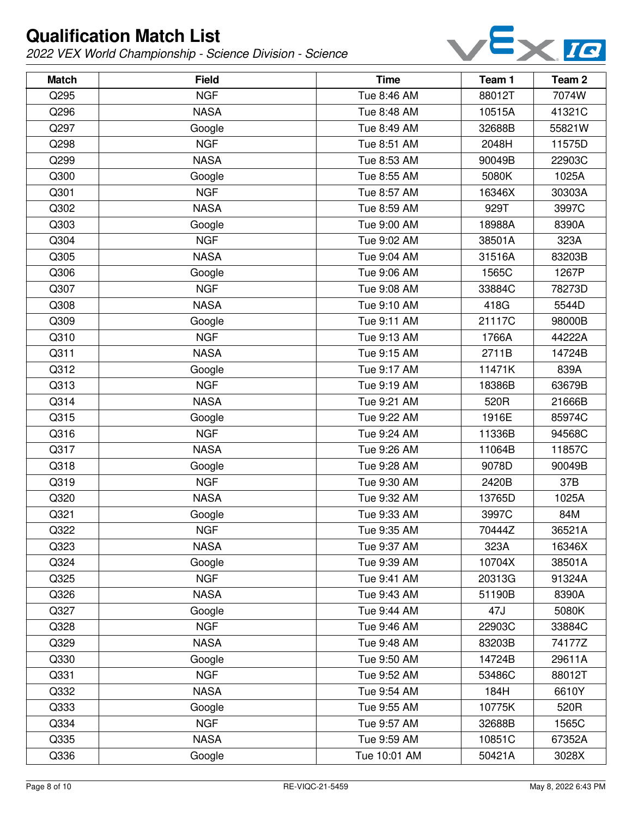

| <b>Match</b> | <b>Field</b> | <b>Time</b>  | Team 1 | Team 2 |
|--------------|--------------|--------------|--------|--------|
| Q295         | <b>NGF</b>   | Tue 8:46 AM  | 88012T | 7074W  |
| Q296         | <b>NASA</b>  | Tue 8:48 AM  | 10515A | 41321C |
| Q297         | Google       | Tue 8:49 AM  | 32688B | 55821W |
| Q298         | <b>NGF</b>   | Tue 8:51 AM  | 2048H  | 11575D |
| Q299         | <b>NASA</b>  | Tue 8:53 AM  | 90049B | 22903C |
| Q300         | Google       | Tue 8:55 AM  | 5080K  | 1025A  |
| Q301         | <b>NGF</b>   | Tue 8:57 AM  | 16346X | 30303A |
| Q302         | <b>NASA</b>  | Tue 8:59 AM  | 929T   | 3997C  |
| Q303         | Google       | Tue 9:00 AM  | 18988A | 8390A  |
| Q304         | <b>NGF</b>   | Tue 9:02 AM  | 38501A | 323A   |
| Q305         | <b>NASA</b>  | Tue 9:04 AM  | 31516A | 83203B |
| Q306         | Google       | Tue 9:06 AM  | 1565C  | 1267P  |
| Q307         | <b>NGF</b>   | Tue 9:08 AM  | 33884C | 78273D |
| Q308         | <b>NASA</b>  | Tue 9:10 AM  | 418G   | 5544D  |
| Q309         | Google       | Tue 9:11 AM  | 21117C | 98000B |
| Q310         | <b>NGF</b>   | Tue 9:13 AM  | 1766A  | 44222A |
| Q311         | <b>NASA</b>  | Tue 9:15 AM  | 2711B  | 14724B |
| Q312         | Google       | Tue 9:17 AM  | 11471K | 839A   |
| Q313         | <b>NGF</b>   | Tue 9:19 AM  | 18386B | 63679B |
| Q314         | <b>NASA</b>  | Tue 9:21 AM  | 520R   | 21666B |
| Q315         | Google       | Tue 9:22 AM  | 1916E  | 85974C |
| Q316         | <b>NGF</b>   | Tue 9:24 AM  | 11336B | 94568C |
| Q317         | <b>NASA</b>  | Tue 9:26 AM  | 11064B | 11857C |
| Q318         | Google       | Tue 9:28 AM  | 9078D  | 90049B |
| Q319         | <b>NGF</b>   | Tue 9:30 AM  | 2420B  | 37B    |
| Q320         | <b>NASA</b>  | Tue 9:32 AM  | 13765D | 1025A  |
| Q321         | Google       | Tue 9:33 AM  | 3997C  | 84M    |
| Q322         | <b>NGF</b>   | Tue 9:35 AM  | 70444Z | 36521A |
| Q323         | <b>NASA</b>  | Tue 9:37 AM  | 323A   | 16346X |
| Q324         | Google       | Tue 9:39 AM  | 10704X | 38501A |
| Q325         | <b>NGF</b>   | Tue 9:41 AM  | 20313G | 91324A |
| Q326         | <b>NASA</b>  | Tue 9:43 AM  | 51190B | 8390A  |
| Q327         | Google       | Tue 9:44 AM  | 47J    | 5080K  |
| Q328         | <b>NGF</b>   | Tue 9:46 AM  | 22903C | 33884C |
| Q329         | <b>NASA</b>  | Tue 9:48 AM  | 83203B | 74177Z |
| Q330         | Google       | Tue 9:50 AM  | 14724B | 29611A |
| Q331         | <b>NGF</b>   | Tue 9:52 AM  | 53486C | 88012T |
| Q332         | <b>NASA</b>  | Tue 9:54 AM  | 184H   | 6610Y  |
| Q333         | Google       | Tue 9:55 AM  | 10775K | 520R   |
| Q334         | <b>NGF</b>   | Tue 9:57 AM  | 32688B | 1565C  |
| Q335         | <b>NASA</b>  | Tue 9:59 AM  | 10851C | 67352A |
| Q336         | Google       | Tue 10:01 AM | 50421A | 3028X  |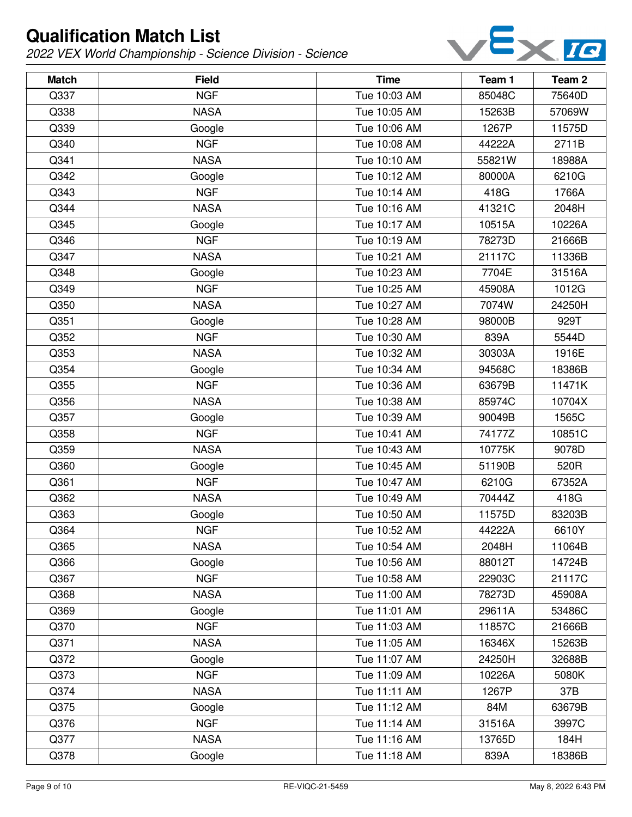

| <b>Match</b> | <b>Field</b> | <b>Time</b>  | Team 1 | Team <sub>2</sub> |
|--------------|--------------|--------------|--------|-------------------|
| Q337         | <b>NGF</b>   | Tue 10:03 AM | 85048C | 75640D            |
| Q338         | <b>NASA</b>  | Tue 10:05 AM | 15263B | 57069W            |
| Q339         | Google       | Tue 10:06 AM | 1267P  | 11575D            |
| Q340         | <b>NGF</b>   | Tue 10:08 AM | 44222A | 2711B             |
| Q341         | <b>NASA</b>  | Tue 10:10 AM | 55821W | 18988A            |
| Q342         | Google       | Tue 10:12 AM | 80000A | 6210G             |
| Q343         | <b>NGF</b>   | Tue 10:14 AM | 418G   | 1766A             |
| Q344         | <b>NASA</b>  | Tue 10:16 AM | 41321C | 2048H             |
| Q345         | Google       | Tue 10:17 AM | 10515A | 10226A            |
| Q346         | <b>NGF</b>   | Tue 10:19 AM | 78273D | 21666B            |
| Q347         | <b>NASA</b>  | Tue 10:21 AM | 21117C | 11336B            |
| Q348         | Google       | Tue 10:23 AM | 7704E  | 31516A            |
| Q349         | <b>NGF</b>   | Tue 10:25 AM | 45908A | 1012G             |
| Q350         | <b>NASA</b>  | Tue 10:27 AM | 7074W  | 24250H            |
| Q351         | Google       | Tue 10:28 AM | 98000B | 929T              |
| Q352         | <b>NGF</b>   | Tue 10:30 AM | 839A   | 5544D             |
| Q353         | <b>NASA</b>  | Tue 10:32 AM | 30303A | 1916E             |
| Q354         | Google       | Tue 10:34 AM | 94568C | 18386B            |
| Q355         | <b>NGF</b>   | Tue 10:36 AM | 63679B | 11471K            |
| Q356         | <b>NASA</b>  | Tue 10:38 AM | 85974C | 10704X            |
| Q357         | Google       | Tue 10:39 AM | 90049B | 1565C             |
| Q358         | <b>NGF</b>   | Tue 10:41 AM | 74177Z | 10851C            |
| Q359         | <b>NASA</b>  | Tue 10:43 AM | 10775K | 9078D             |
| Q360         | Google       | Tue 10:45 AM | 51190B | 520R              |
| Q361         | <b>NGF</b>   | Tue 10:47 AM | 6210G  | 67352A            |
| Q362         | <b>NASA</b>  | Tue 10:49 AM | 70444Z | 418G              |
| Q363         | Google       | Tue 10:50 AM | 11575D | 83203B            |
| Q364         | <b>NGF</b>   | Tue 10:52 AM | 44222A | 6610Y             |
| Q365         | <b>NASA</b>  | Tue 10:54 AM | 2048H  | 11064B            |
| Q366         | Google       | Tue 10:56 AM | 88012T | 14724B            |
| Q367         | <b>NGF</b>   | Tue 10:58 AM | 22903C | 21117C            |
| Q368         | <b>NASA</b>  | Tue 11:00 AM | 78273D | 45908A            |
| Q369         | Google       | Tue 11:01 AM | 29611A | 53486C            |
| Q370         | <b>NGF</b>   | Tue 11:03 AM | 11857C | 21666B            |
| Q371         | <b>NASA</b>  | Tue 11:05 AM | 16346X | 15263B            |
| Q372         | Google       | Tue 11:07 AM | 24250H | 32688B            |
| Q373         | <b>NGF</b>   | Tue 11:09 AM | 10226A | 5080K             |
| Q374         | <b>NASA</b>  | Tue 11:11 AM | 1267P  | 37B               |
| Q375         | Google       | Tue 11:12 AM | 84M    | 63679B            |
| Q376         | <b>NGF</b>   | Tue 11:14 AM | 31516A | 3997C             |
| Q377         | <b>NASA</b>  | Tue 11:16 AM | 13765D | 184H              |
| Q378         | Google       | Tue 11:18 AM | 839A   | 18386B            |